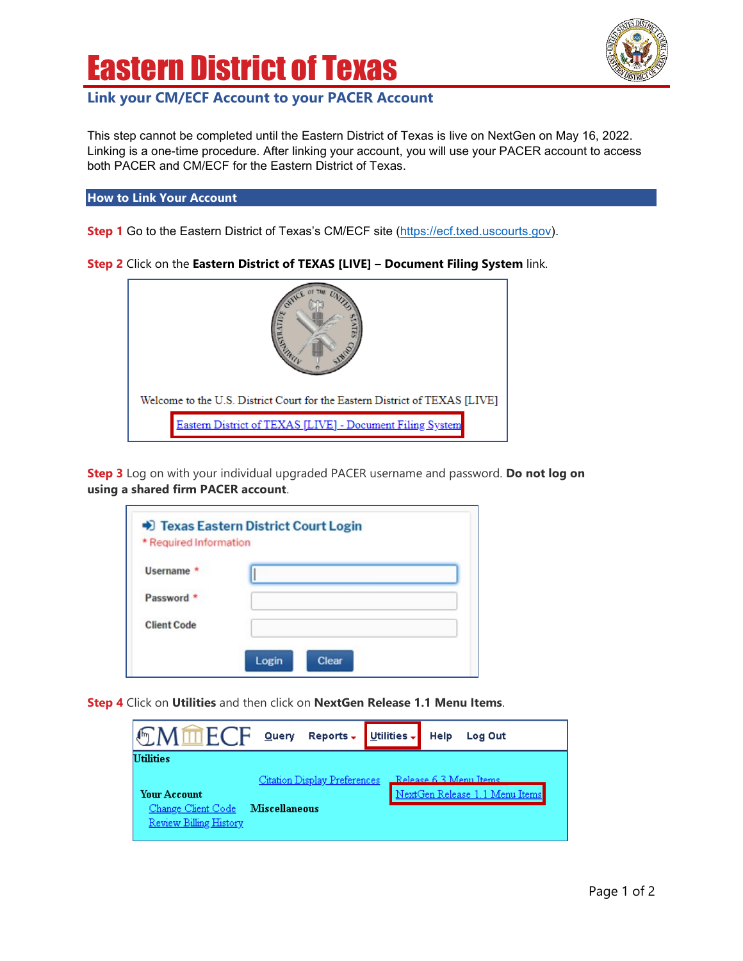## Eastern District of Texas

## **Link your CM/ECF Account to your PACER Account**

This step cannot be completed until the Eastern District of Texas is live on NextGen on May 16, 2022. Linking is a one-time procedure. After linking your account, you will use your PACER account to access both PACER and CM/ECF for the Eastern District of Texas.

**How to Link Your Account**

**Step 1** Go to the Eastern District of Texas's CM/ECF site [\(https://ecf.txed.uscourts.gov\)](https://ecf.txed.uscourts.gov/).

**Step 2** Click on the **Eastern District of TEXAS [LIVE] – Document Filing System** link.



**Step 3** Log on with your individual upgraded PACER username and password. **Do not log on using a shared firm PACER account**.

| Username *         |  |
|--------------------|--|
| Password *         |  |
| <b>Client Code</b> |  |

**Step 4** Click on **Utilities** and then click on **NextGen Release 1.1 Menu Items**.

| <b>EMMECF</b>                                                              | Query                | Reports $\overline{\bullet}$ Utilities $\overline{\bullet}$ | Help                   | Log Out                        |  |
|----------------------------------------------------------------------------|----------------------|-------------------------------------------------------------|------------------------|--------------------------------|--|
| <b>Utilities</b>                                                           |                      | Citation Display Preferences                                | Release 6.3 Menu Items |                                |  |
| <b>Your Account</b><br>Change Client Code<br><b>Review Billing History</b> | <b>Miscellaneous</b> |                                                             |                        | NextGen Release 1.1 Menu Items |  |